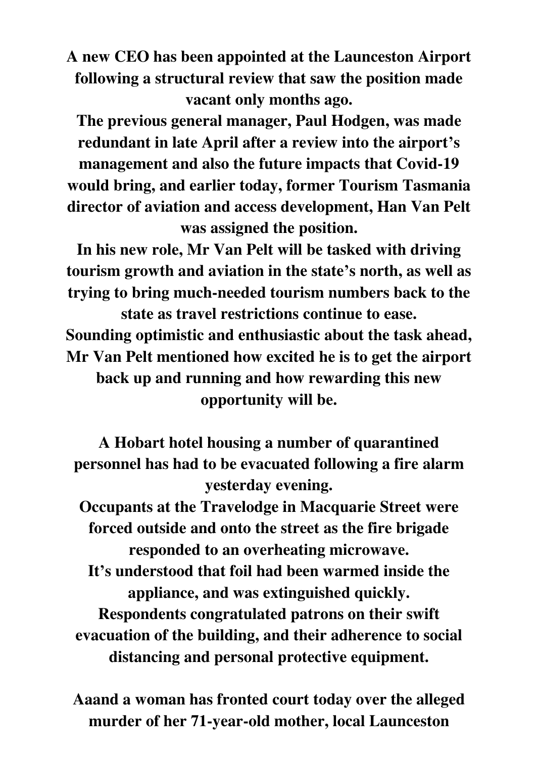**A new CEO has been appointed at the Launceston Airport following a structural review that saw the position made vacant only months ago.** 

**The previous general manager, Paul Hodgen, was made redundant in late April after a review into the airport's management and also the future impacts that Covid-19 would bring, and earlier today, former Tourism Tasmania director of aviation and access development, Han Van Pelt was assigned the position.** 

**In his new role, Mr Van Pelt will be tasked with driving tourism growth and aviation in the state's north, as well as trying to bring much-needed tourism numbers back to the state as travel restrictions continue to ease.** 

**Sounding optimistic and enthusiastic about the task ahead, Mr Van Pelt mentioned how excited he is to get the airport back up and running and how rewarding this new opportunity will be.** 

**A Hobart hotel housing a number of quarantined personnel has had to be evacuated following a fire alarm yesterday evening.** 

**Occupants at the Travelodge in Macquarie Street were forced outside and onto the street as the fire brigade responded to an overheating microwave.** 

**It's understood that foil had been warmed inside the appliance, and was extinguished quickly. Respondents congratulated patrons on their swift evacuation of the building, and their adherence to social distancing and personal protective equipment.** 

**Aaand a woman has fronted court today over the alleged murder of her 71-year-old mother, local Launceston**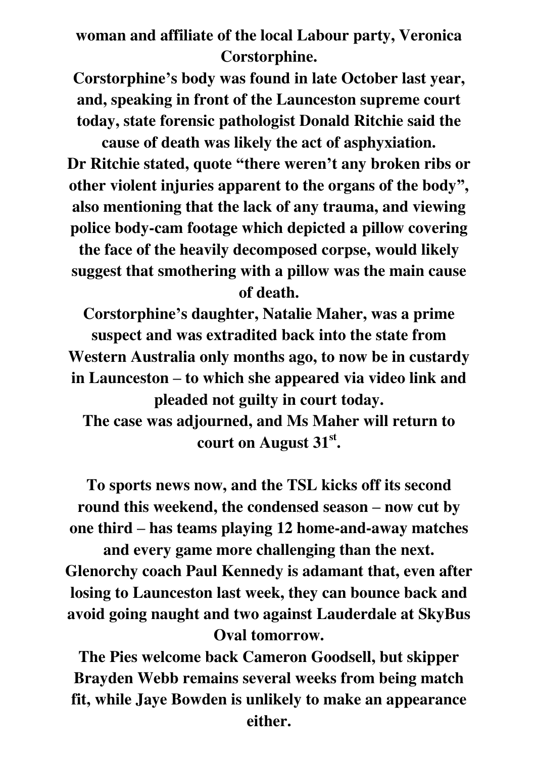**woman and affiliate of the local Labour party, Veronica Corstorphine.** 

**Corstorphine's body was found in late October last year, and, speaking in front of the Launceston supreme court today, state forensic pathologist Donald Ritchie said the** 

**cause of death was likely the act of asphyxiation. Dr Ritchie stated, quote "there weren't any broken ribs or other violent injuries apparent to the organs of the body" , also mentioning that the lack of any trauma, and viewing police body-cam footage which depicted a pillow covering the face of the heavily decomposed corpse, would likely suggest that smothering with a pillow was the main cause of death.** 

**Corstorphine's daughter, Natalie Maher, was a prime suspect and was extradited back into the state from Western Australia only months ago, to now be in custardy in Launceston – to which she appeared via video link and pleaded not guilty in court today.** 

**The case was adjourned, and Ms Maher will return to court on August 31st .** 

**To sports news now, and the TSL kicks off its second round this weekend, the condensed season – now cut by one third – has teams playing 12 home-and-away matches and every game more challenging than the next.** 

**Glenorchy coach Paul Kennedy is adamant that, even after losing to Launceston last week, they can bounce back and avoid going naught and two against Lauderdale at SkyBus Oval tomorrow.** 

**The Pies welcome back Cameron Goodsell, but skipper Brayden Webb remains several weeks from being match fit, while Jaye Bowden is unlikely to make an appearance either.**